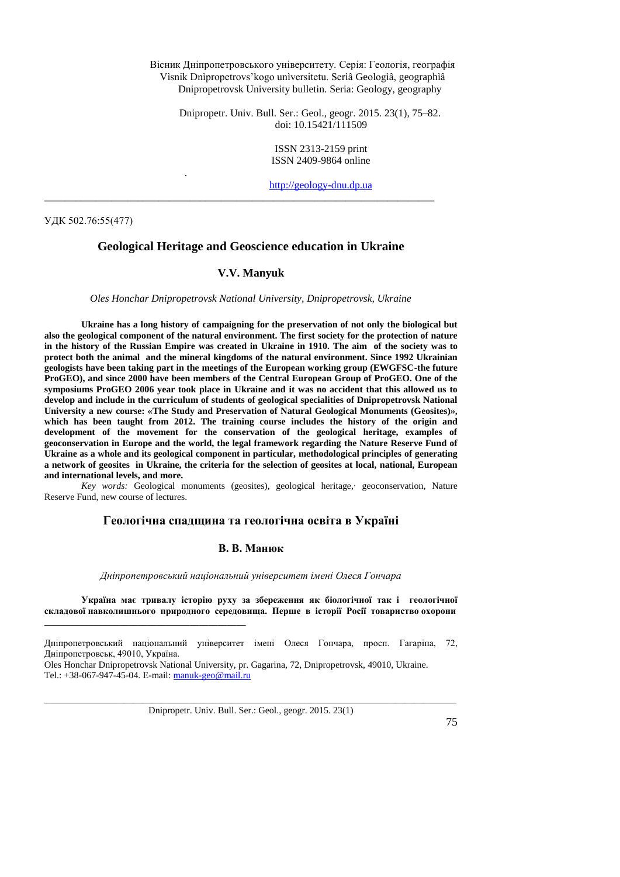Вісник Дніпропетровського університету. Серія: Геологія, географія Vìsnik Dnìpropetrovs'kogo unìversitetu. Serìâ Geologìâ, geographìâ Dnipropetrovsk University bulletin. Seria: Geology, geography

Dnipropetr. Univ. Bull. Ser.: Geol., geogr. 2015. 23(1), 75–82. doi: 10.15421/111509

> ISSN 2313-2159 print ISSN 2409-9864 online

[http://geology-dnu.dp.ua](http://geology-dnu.dp.ua/)

УДК 502.76:55(477)

## **Geological Heritage and Geoscience education in Ukraine**

\_\_\_\_\_\_\_\_\_\_\_\_\_\_\_\_\_\_\_\_\_\_\_\_\_\_\_\_\_\_\_\_\_\_\_\_\_\_\_\_\_\_\_\_\_\_\_\_\_\_\_\_\_\_\_\_\_\_\_\_\_\_\_\_\_\_\_\_\_\_\_\_\_\_\_

.

#### **V.V. Manyuk**

*Oles Honchar Dnipropetrovsk National University, Dnipropetrovsk, Ukraine*

**Ukraine has a long history of campaigning for the preservation of not only the biological but also the geological component of the natural environment. The first society for the protection of nature in the history of the Russian Empire was created in Ukraine in 1910. The aim of the society was to protect both the animal and the mineral kingdoms of the natural environment. Since 1992 Ukrainian geologists have been taking part in the meetings of the European working group (EWGFSC-the future ProGEO), and since 2000 have been members of the Central European Group of ProGEO. One of the symposiums ProGEO 2006 year took place in Ukraine and it was no accident that this allowed us to develop and include in the curriculum of students of geological specialities of Dnipropetrovsk National University a new course: «The Study and Preservation of Natural Geological Monuments (Geosites)», which has been taught from 2012. The training course includes the history of the origin and development of the movement for the conservation of the geological heritage, examples of geoconservation in Europe and the world, the legal framework regarding the Nature Reserve Fund of Ukraine as a whole and its geological component in particular, methodological principles of generating a network of geosites in Ukraine, the criteria for the selection of geosites at local, national, European and international levels, and more.**

*Key words:* Geological monuments (geosites), geological heritage,∙ geoconservation, Nature Reserve Fund, new course of lectures.

## **Геологічна спадщина та геологічна освіта в Україні**

#### **В. В. Манюк**

*Дніпропетровський національний університет імені Олеся Гончара* 

**Україна має тривалу історію руху за збереження як біологічної так і геологічної складової навколишнього природного середовища. Перше в історії Росії товариство охорони** 

**\_\_\_\_\_\_\_\_\_\_\_\_\_\_\_\_\_\_\_\_\_\_\_\_\_\_\_\_\_\_\_\_\_\_\_\_\_\_\_\_\_\_\_**

\_\_\_\_\_\_\_\_\_\_\_\_\_\_\_\_\_\_\_\_\_\_\_\_\_\_\_\_\_\_\_\_\_\_\_\_\_\_\_\_\_\_\_\_\_\_\_\_\_\_\_\_\_\_\_\_\_\_\_\_\_\_\_\_\_\_\_\_\_\_\_\_\_\_\_\_\_\_\_\_\_\_\_\_\_\_\_\_ Dnipropetr. Univ. Bull. Ser.: Geol., geogr. 2015. 23(1)

Дніпропетровський національний університет імені Олеся Гончара, просп. Гагаріна, 72, Дніпропетровськ, 49010, Україна.

Oles Honchar Dnipropetrovsk National University, pr. Gagarina, 72, Dnipropetrovsk, 49010, Ukraine. Tel.: +38-067-947-45-04. E-mail[: manuk-geo@mail.ru](mailto:manuk-geo@mail.ru)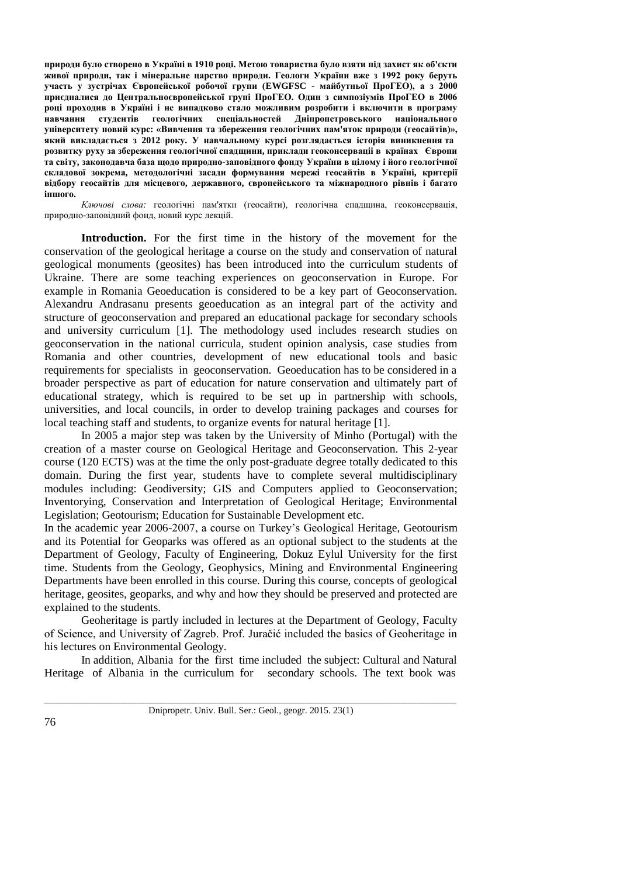**природи було створено в Україні в 1910 році. Метою товариства було взяти під захист як об'єкти живої природи, так і мінеральне царство природи. Геологи України вже з 1992 року беруть участь у зустрічах Європейської робочої групи (EWGFSC - майбутньої ПроГЕО), а з 2000 приєдналися до Центральноєвропейської групі ПроГЕО. Один з симпозіумів ПроГЕО в 2006 році проходив в Україні і не випадково стало можливим розробити і включити в програму навчання студентів геологічних спеціальностей Дніпропетровського національного університету новий курс: «Вивчення та збереження геологічних пам'яток природи (геосайтiв)», який викладається з 2012 року. У навчальному курсі розглядається історія виникнення та розвитку руху за збереження геологічної спадщини, приклади геоконсерваціі в країнах Європи та світу, законодавча база щодо природно-заповідного фонду України в цілому і його геологічної складової зокрема, методологічні засади формування мережі геосайтiв в Україні, критерії відбору геосайтiв для місцевого, державного, європейського та міжнародного рівнів і багато іншого.**

*Ключові слова:* геологічні пам'ятки (геосайти), геологічна спадщина, геоконсервація, природно-заповідний фонд, новий курс лекцій.

**Introduction.** For the first time in the history of the movement for the conservation of the geological heritage a course on the study and conservation of natural geological monuments (geosites) has been introduced into the curriculum students of Ukraine. There are some teaching experiences on geoconservation in Europe. For example in Romania Geoeducation is considered to be a key part of Geoconservation. Alexandru Andrasanu presents geoeducation as an integral part of the activity and structure of geoconservation and prepared an educational package for secondary schools and university curriculum [1]. The methodology used includes research studies on geoconservation in the national curricula, student opinion analysis, case studies from Romania and other countries, development of new educational tools and basic requirements for specialists in geoconservation. Geoeducation has to be considered in a broader perspective as part of education for nature conservation and ultimately part of educational strategy, which is required to be set up in partnership with schools, universities, and local councils, in order to develop training packages and courses for local teaching staff and students, to organize events for natural heritage [1].

In 2005 a major step was taken by the University of Minho (Portugal) with the creation of a master course on Geological Heritage and Geoconservation. This 2-year course (120 ECTS) was at the time the only post-graduate degree totally dedicated to this domain. During the first year, students have to complete several multidisciplinary modules including: Geodiversity; GIS and Computers applied to Geoconservation; Inventorying, Conservation and Interpretation of Geological Heritage; Environmental Legislation; Geotourism; Education for Sustainable Development etc.

In the academic year 2006-2007, a course on Turkey's Geological Heritage, Geotourism and its Potential for Geoparks was offered as an optional subject to the students at the Department of Geology, Faculty of Engineering, Dokuz Eylul University for the first time. Students from the Geology, Geophysics, Mining and Environmental Engineering Departments have been enrolled in this course. During this course, concepts of geological heritage, geosites, geoparks, and why and how they should be preserved and protected are explained to the students.

Geoheritage is partly included in lectures at the Department of Geology, Faculty of Science, and University of Zagreb. Prof. Juračić included the basics of Geoheritage in his lectures on Environmental Geology.

In addition, Albania for the first time included the subject: Cultural and Natural Heritage of Albania in the curriculum for secondary schools. The text book was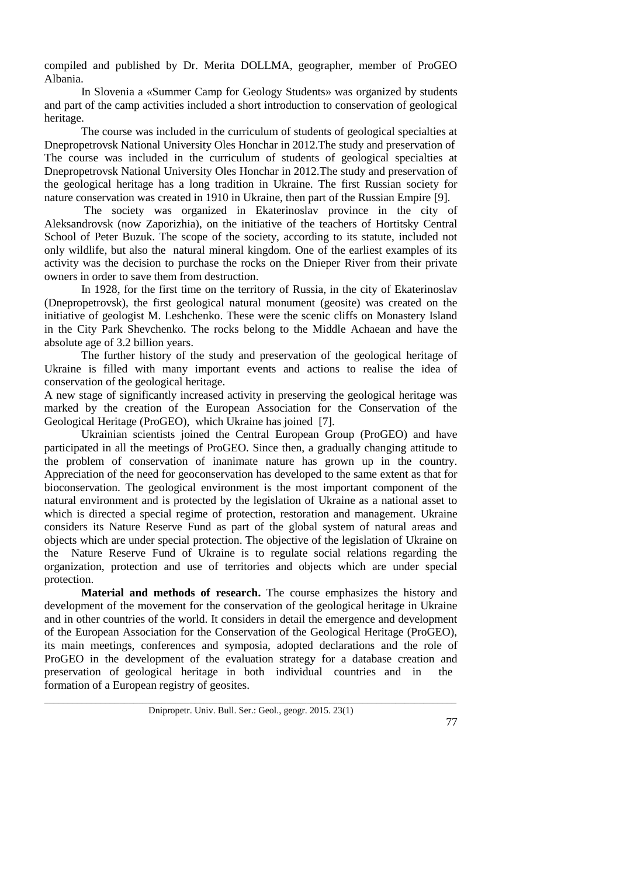compiled and published by Dr. Merita DOLLMA, geographer, member of ProGEO Albania.

In Slovenia a «Summer Camp for Geology Students» was organized by students and part of the camp activities included a short introduction to conservation of geological heritage.

The course was included in the curriculum of students of geological specialties at Dnepropetrovsk National University Oles Honchar in 2012.The study and preservation of The course was included in the curriculum of students of geological specialties at Dnepropetrovsk National University Oles Honchar in 2012.The study and preservation of the geological heritage has a long tradition in Ukraine. The first Russian society for nature conservation was created in 1910 in Ukraine, then part of the Russian Empire [9].

The society was organized in Ekaterinoslav province in the city of Aleksandrovsk (now Zaporizhia), on the initiative of the teachers of Hortitsky Central School of Peter Buzuk. The scope of the society, according to its statute, included not only wildlife, but also the natural mineral kingdom. One of the earliest examples of its activity was the decision to purchase the rocks on the Dnieper River from their private owners in order to save them from destruction.

In 1928, for the first time on the territory of Russia, in the city of Ekaterinoslav (Dnepropetrovsk), the first geological natural monument (geosite) was created on the initiative of geologist M. Leshchenko. These were the scenic cliffs on Monastery Island in the City Park Shevchenko. The rocks belong to the Middle Achaean and have the absolute age of 3.2 billion years.

The further history of the study and preservation of the geological heritage of Ukraine is filled with many important events and actions to realise the idea of conservation of the geological heritage.

A new stage of significantly increased activity in preserving the geological heritage was marked by the creation of the European Association for the Conservation of the Geological Heritage (ProGEO), which Ukraine has joined [7].

Ukrainian scientists joined the Central European Group (ProGEO) and have participated in all the meetings of ProGEO. Since then, a gradually changing attitude to the problem of conservation of inanimate nature has grown up in the country. Appreciation of the need for geoconservation has developed to the same extent as that for bioconservation. The geological environment is the most important component of the natural environment and is protected by the legislation of Ukraine as a national asset to which is directed a special regime of protection, restoration and management. Ukraine considers its Nature Reserve Fund as part of the global system of natural areas and objects which are under special protection. The objective of the legislation of Ukraine on the Nature Reserve Fund of Ukraine is to regulate social relations regarding the organization, protection and use of territories and objects which are under special protection.

**Material and methods of research.** The course emphasizes the history and development of the movement for the conservation of the geological heritage in Ukraine and in other countries of the world. It considers in detail the emergence and development of the European Association for the Conservation of the Geological Heritage (ProGEO), its main meetings, conferences and symposia, adopted declarations and the role of ProGEO in the development of the evaluation strategy for a database creation and preservation of geological heritage in both individual countries and in the formation of a European registry of geosites.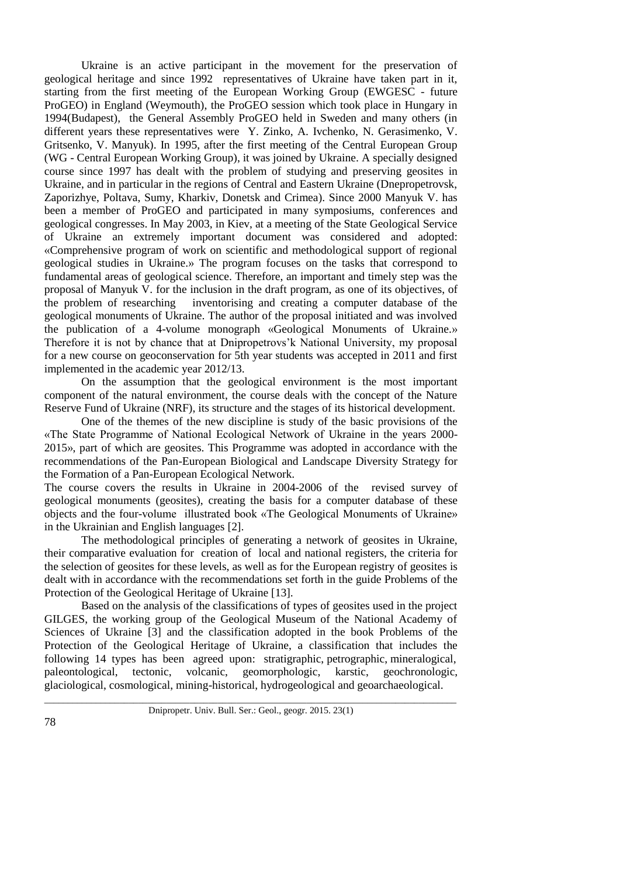Ukraine is an active participant in the movement for the preservation of geological heritage and since 1992 representatives of Ukraine have taken part in it, starting from the first meeting of the European Working Group (EWGESC - future ProGEO) in England (Weymouth), the ProGEO session which took place in Hungary in 1994(Budapest), the General Assembly ProGEO held in Sweden and many others (in different years these representatives were Y. Zinko, A. Ivchenko, N. Gerasimenko, V. Gritsenko, V. Manyuk). In 1995, after the first meeting of the Central European Group (WG - Central European Working Group), it was joined by Ukraine. A specially designed course since 1997 has dealt with the problem of studying and preserving geosites in Ukraine, and in particular in the regions of Central and Eastern Ukraine (Dnepropetrovsk, Zaporizhye, Poltava, Sumy, Kharkiv, Donetsk and Crimea). Since 2000 Manyuk V. has been a member of ProGEO and participated in many symposiums, conferences and geological congresses. In May 2003, in Kiev, at a meeting of the State Geological Service of Ukraine an extremely important document was considered and adopted: «Comprehensive program of work on scientific and methodological support of regional geological studies in Ukraine.» The program focuses on the tasks that correspond to fundamental areas of geological science. Therefore, an important and timely step was the proposal of Manyuk V. for the inclusion in the draft program, as one of its objectives, of the problem of researching inventorising and creating a computer database of the geological monuments of Ukraine. The author of the proposal initiated and was involved the publication of a 4-volume monograph «Geological Monuments of Ukraine.» Therefore it is not by chance that at Dnipropetrovs'k National University, my proposal for a new course on geoconservation for 5th year students was accepted in 2011 and first implemented in the academic year 2012/13.

On the assumption that the geological environment is the most important component of the natural environment, the course deals with the concept of the Nature Reserve Fund of Ukraine (NRF), its structure and the stages of its historical development.

One of the themes of the new discipline is study of the basic provisions of the «The State Programme of National Ecological Network of Ukraine in the years 2000- 2015», part of which are geosites. This Programme was adopted in accordance with the recommendations of the Pan-European Biological and Landscape Diversity Strategy for the Formation of a Pan-European Ecological Network.

The course covers the results in Ukraine in 2004-2006 of the revised survey of geological monuments (geosites), creating the basis for a computer database of these objects and the four-volume illustrated book «The Geological Monuments of Ukraine» in the Ukrainian and English languages [2].

The methodological principles of generating a network of geosites in Ukraine, their comparative evaluation for creation of local and national registers, the criteria for the selection of geosites for these levels, as well as for the European registry of geosites is dealt with in accordance with the recommendations set forth in the guide Problems of the Protection of the Geological Heritage of Ukraine [13].

Based on the analysis of the classifications of types of geosites used in the project GILGES, the working group of the Geological Museum of the National Academy of Sciences of Ukraine [3] and the classification adopted in the book Problems of the Protection of the Geological Heritage of Ukraine, a classification that includes the following 14 types has been agreed upon: stratigraphic, petrographic, mineralogical, paleontological, tectonic, volcanic, geomorphologic, karstic, geochronologic, glaciological, cosmological, mining-historical, hydrogeological and geoarchaeological.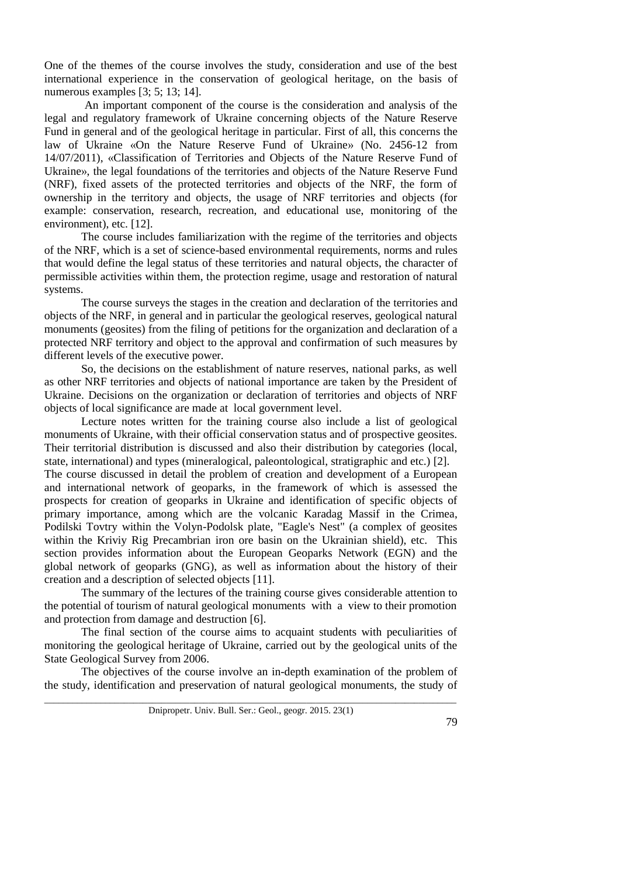One of the themes of the course involves the study, consideration and use of the best international experience in the conservation of geological heritage, on the basis of numerous examples [3; 5; 13; 14].

 An important component of the course is the consideration and analysis of the legal and regulatory framework of Ukraine concerning objects of the Nature Reserve Fund in general and of the geological heritage in particular. First of all, this concerns the law of Ukraine «On the Nature Reserve Fund of Ukraine» (No. 2456-12 from 14/07/2011), «Classification of Territories and Objects of the Nature Reserve Fund of Ukraine», the legal foundations of the territories and objects of the Nature Reserve Fund (NRF), fixed assets of the protected territories and objects of the NRF, the form of ownership in the territory and objects, the usage of NRF territories and objects (for example: conservation, research, recreation, and educational use, monitoring of the environment), etc. [12].

The course includes familiarization with the regime of the territories and objects of the NRF, which is a set of science-based environmental requirements, norms and rules that would define the legal status of these territories and natural objects, the character of permissible activities within them, the protection regime, usage and restoration of natural systems.

The course surveys the stages in the creation and declaration of the territories and objects of the NRF, in general and in particular the geological reserves, geological natural monuments (geosites) from the filing of petitions for the organization and declaration of a protected NRF territory and object to the approval and confirmation of such measures by different levels of the executive power.

So, the decisions on the establishment of nature reserves, national parks, as well as other NRF territories and objects of national importance are taken by the President of Ukraine. Decisions on the organization or declaration of territories and objects of NRF objects of local significance are made at local government level.

Lecture notes written for the training course also include a list of geological monuments of Ukraine, with their official conservation status and of prospective geosites. Their territorial distribution is discussed and also their distribution by categories (local, state, international) and types (mineralogical, paleontological, stratigraphic and etc.) [2].

The course discussed in detail the problem of creation and development of a European and international network of geoparks, in the framework of which is assessed the prospects for creation of geoparks in Ukraine and identification of specific objects of primary importance, among which are the volcanic Karadag Massif in the Crimea, Podilski Tovtry within the Volyn-Podolsk plate, "Eagle's Nest" (a complex of geosites within the Kriviy Rig Precambrian iron ore basin on the Ukrainian shield), etc. This section provides information about the European Geoparks Network (EGN) and the global network of geoparks (GNG), as well as information about the history of their creation and a description of selected objects [11].

The summary of the lectures of the training course gives considerable attention to the potential of tourism of natural geological monuments with a view to their promotion and protection from damage and destruction [6].

The final section of the course aims to acquaint students with peculiarities of monitoring the geological heritage of Ukraine, carried out by the geological units of the State Geological Survey from 2006.

The objectives of the course involve an in-depth examination of the problem of the study, identification and preservation of natural geological monuments, the study of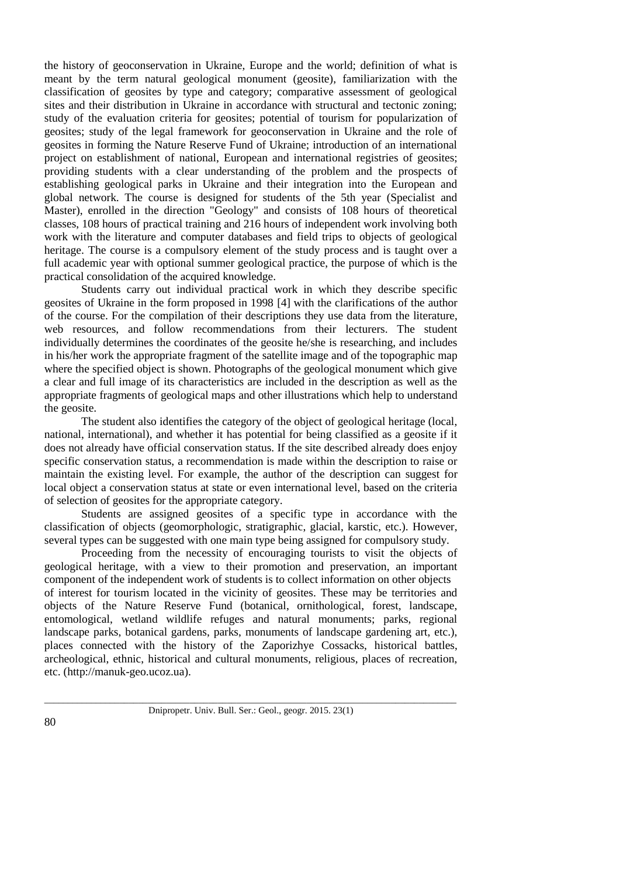the history of geoconservation in Ukraine, Europe and the world; definition of what is meant by the term natural geological monument (geosite), familiarization with the classification of geosites by type and category; comparative assessment of geological sites and their distribution in Ukraine in accordance with structural and tectonic zoning; study of the evaluation criteria for geosites; potential of tourism for popularization of geosites; study of the legal framework for geoconservation in Ukraine and the role of geosites in forming the Nature Reserve Fund of Ukraine; introduction of an international project on establishment of national, European and international registries of geosites; providing students with a clear understanding of the problem and the prospects of establishing geological parks in Ukraine and their integration into the European and global network. The course is designed for students of the 5th year (Specialist and Master), enrolled in the direction "Geology" and consists of 108 hours of theoretical classes, 108 hours of practical training and 216 hours of independent work involving both work with the literature and computer databases and field trips to objects of geological heritage. The course is a compulsory element of the study process and is taught over a full academic year with optional summer geological practice, the purpose of which is the practical consolidation of the acquired knowledge.

Students carry out individual practical work in which they describe specific geosites of Ukraine in the form proposed in 1998 [4] with the clarifications of the author of the course. For the compilation of their descriptions they use data from the literature, web resources, and follow recommendations from their lecturers. The student individually determines the coordinates of the geosite he/she is researching, and includes in his/her work the appropriate fragment of the satellite image and of the topographic map where the specified object is shown. Photographs of the geological monument which give a clear and full image of its characteristics are included in the description as well as the appropriate fragments of geological maps and other illustrations which help to understand the geosite.

The student also identifies the category of the object of geological heritage (local, national, international), and whether it has potential for being classified as a geosite if it does not already have official conservation status. If the site described already does enjoy specific conservation status, a recommendation is made within the description to raise or maintain the existing level. For example, the author of the description can suggest for local object a conservation status at state or even international level, based on the criteria of selection of geosites for the appropriate category.

Students are assigned geosites of a specific type in accordance with the classification of objects (geomorphologic, stratigraphic, glacial, karstic, etc.). However, several types can be suggested with one main type being assigned for compulsory study.

Proceeding from the necessity of encouraging tourists to visit the objects of geological heritage, with a view to their promotion and preservation, an important component of the independent work of students is to collect information on other objects of interest for tourism located in the vicinity of geosites. These may be territories and objects of the Nature Reserve Fund (botanical, ornithological, forest, landscape, entomological, wetland wildlife refuges and natural monuments; parks, regional landscape parks, botanical gardens, parks, monuments of landscape gardening art, etc.), places connected with the history of the Zaporizhye Cossacks, historical battles, archeological, ethnic, historical and cultural monuments, religious, places of recreation, etc. [\(http://manuk-geo.ucoz.ua\)](http://manuk-geo.ucoz.ua/).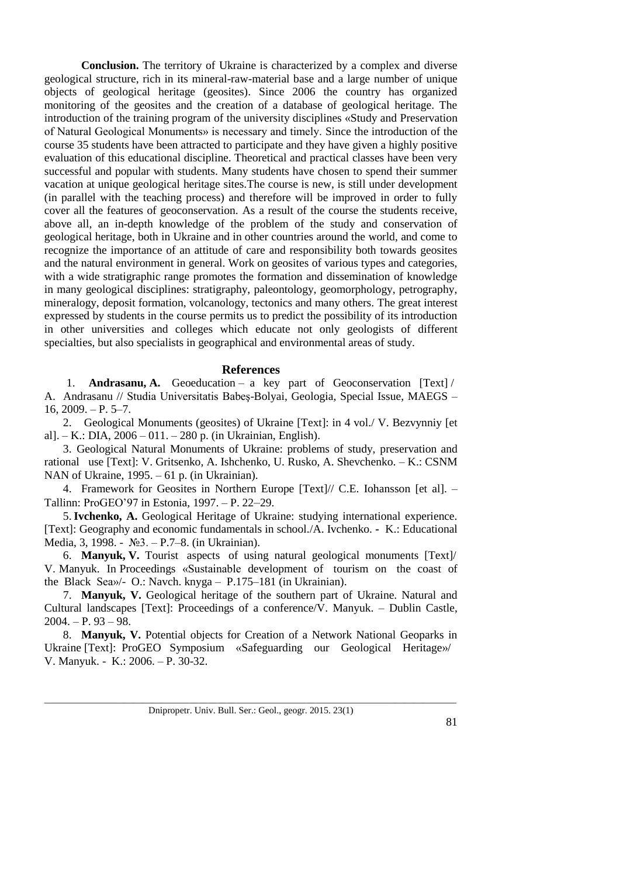**Conclusion.** The territory of Ukraine is characterized by a complex and diverse geological structure, rich in its mineral-raw-material base and a large number of unique objects of geological heritage (geosites). Since 2006 the country has organized monitoring of the geosites and the creation of a database of geological heritage. The introduction of the training program of the university disciplines «Study and Preservation of Natural Geological Monuments» is necessary and timely. Since the introduction of the course 35 students have been attracted to participate and they have given a highly positive evaluation of this educational discipline. Theoretical and practical classes have been very successful and popular with students. Many students have chosen to spend their summer vacation at unique geological heritage sites.The course is new, is still under development (in parallel with the teaching process) and therefore will be improved in order to fully cover all the features of geoconservation. As a result of the course the students receive, above all, an in-depth knowledge of the problem of the study and conservation of geological heritage, both in Ukraine and in other countries around the world, and come to recognize the importance of an attitude of care and responsibility both towards geosites and the natural environment in general. Work on geosites of various types and categories, with a wide stratigraphic range promotes the formation and dissemination of knowledge in many geological disciplines: stratigraphy, paleontology, geomorphology, petrography, mineralogy, deposit formation, volcanology, tectonics and many others. The great interest expressed by students in the course permits us to predict the possibility of its introduction in other universities and colleges which educate not only geologists of different specialties, but also specialists in geographical and environmental areas of study.

# **References**

1. **Andrasanu, A.** Geoeducation – a key part of Geoconservation [Text] / A. Andrasanu // Studia Universitatis Babeş-Bolyai, Geologia, Special Issue, MAEGS –  $16, 2009, -P, 5-7.$ 

2. Geological Monuments (geosites) of Ukraine [Text]: in 4 vol./ V. Bezvynniy [et al]. – K.: DIA, 2006 – 011. – 280 p. (in Ukrainian, English).

3. Geological Natural Monuments of Ukraine: problems of study, preservation and rational use [Text]: V. Gritsenko, A. Ishchenko, U. Rusko, A. Shevchenko. – K.: CSNM NAN of Ukraine, 1995. – 61 p. (in Ukrainian).

4. Framework for Geosites in Northern Europe [Text]// C.E. Iohansson [et al]. – Tallinn: ProGEO'97 in Estonia, 1997. – P. 22–29.

5.**Ivchenko, A.** Geological Heritage of Ukraine: studying international experience. [Text]: Geography and economic fundamentals in school./A. Ivchenko. **-** K.: Educational Media, 3, 1998. - №3. – P.7–8. (in Ukrainian).

6. **Manyuk, V.** Tourist aspects of using natural geological monuments [Text]/ V. Manyuk. In Proceedings «Sustainable development of tourism on the coast of the Black Sea»/- O.: Navch. knyga – P.175–181 (in Ukrainian).

7. **Manyuk, V.** Geological heritage of the southern part of Ukraine. Natural and Cultural landscapes [Text]: Proceedings of a conference/V. Manyuk. – Dublin Castle,  $2004. - P. 93 - 98.$ 

8. **Manyuk, V.** Potential objects for Creation of a Network National Geoparks in Ukraine [Text]: ProGEO Symposium «Safeguarding our Geological Heritage»/ V. Manyuk. - K.: 2006. – P. 30-32.